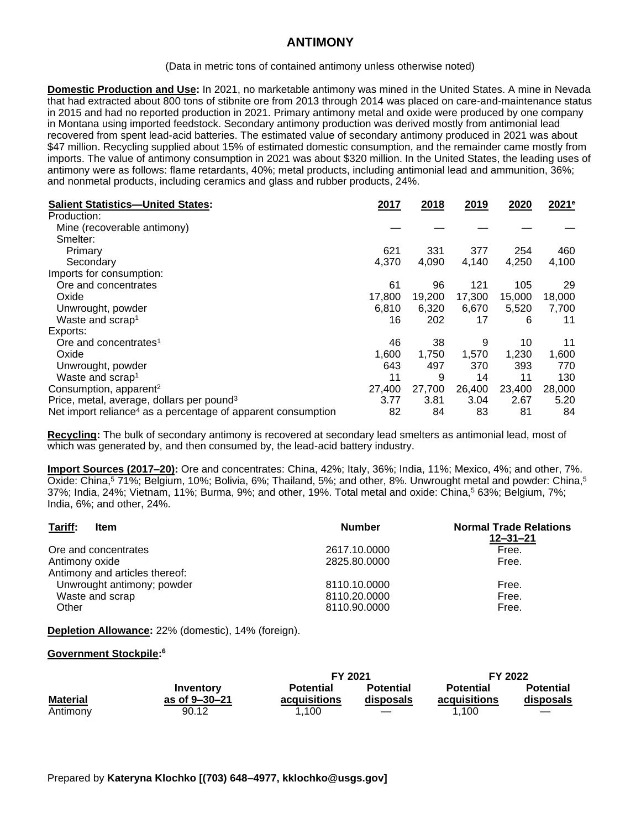## **ANTIMONY**

(Data in metric tons of contained antimony unless otherwise noted)

**Domestic Production and Use:** In 2021, no marketable antimony was mined in the United States. A mine in Nevada that had extracted about 800 tons of stibnite ore from 2013 through 2014 was placed on care-and-maintenance status in 2015 and had no reported production in 2021. Primary antimony metal and oxide were produced by one company in Montana using imported feedstock. Secondary antimony production was derived mostly from antimonial lead recovered from spent lead-acid batteries. The estimated value of secondary antimony produced in 2021 was about \$47 million. Recycling supplied about 15% of estimated domestic consumption, and the remainder came mostly from imports. The value of antimony consumption in 2021 was about \$320 million. In the United States, the leading uses of antimony were as follows: flame retardants, 40%; metal products, including antimonial lead and ammunition, 36%; and nonmetal products, including ceramics and glass and rubber products, 24%.

| <b>Salient Statistics-United States:</b>                                 | 2017   | 2018   | 2019   | 2020   | 2021 <sup>e</sup> |
|--------------------------------------------------------------------------|--------|--------|--------|--------|-------------------|
| Production:                                                              |        |        |        |        |                   |
| Mine (recoverable antimony)                                              |        |        |        |        |                   |
| Smelter:                                                                 |        |        |        |        |                   |
| Primary                                                                  | 621    | 331    | 377    | 254    | 460               |
| Secondary                                                                | 4,370  | 4,090  | 4,140  | 4,250  | 4,100             |
| Imports for consumption:                                                 |        |        |        |        |                   |
| Ore and concentrates                                                     | 61     | 96     | 121    | 105    | 29                |
| Oxide                                                                    | 17,800 | 19,200 | 17,300 | 15,000 | 18,000            |
| Unwrought, powder                                                        | 6,810  | 6,320  | 6,670  | 5,520  | 7,700             |
| Waste and scrap <sup>1</sup>                                             | 16     | 202    | 17     | 6      | 11                |
| Exports:                                                                 |        |        |        |        |                   |
| Ore and concentrates <sup>1</sup>                                        | 46     | 38     | 9      | 10     | 11                |
| Oxide                                                                    | 1,600  | 1,750  | 1,570  | 1,230  | 1,600             |
| Unwrought, powder                                                        | 643    | 497    | 370    | 393    | 770               |
| Waste and scrap <sup>1</sup>                                             | 11     | 9      | 14     | 11     | 130               |
| Consumption, apparent <sup>2</sup>                                       | 27,400 | 27,700 | 26,400 | 23,400 | 28,000            |
| Price, metal, average, dollars per pound <sup>3</sup>                    | 3.77   | 3.81   | 3.04   | 2.67   | 5.20              |
| Net import reliance <sup>4</sup> as a percentage of apparent consumption | 82     | 84     | 83     | 81     | 84                |

**Recycling:** The bulk of secondary antimony is recovered at secondary lead smelters as antimonial lead, most of which was generated by, and then consumed by, the lead-acid battery industry.

**Import Sources (2017–20):** Ore and concentrates: China, 42%; Italy, 36%; India, 11%; Mexico, 4%; and other, 7%. Oxide: China,<sup>5</sup> 71%; Belgium, 10%; Bolivia, 6%; Thailand, 5%; and other, 8%. Unwrought metal and powder: China,<sup>5</sup> 37%; India, 24%; Vietnam, 11%; Burma, 9%; and other, 19%. Total metal and oxide: China,<sup>5</sup> 63%; Belgium, 7%; India, 6%; and other, 24%.

| Tariff:<br>Item                | <b>Number</b> | <b>Normal Trade Relations</b><br>$12 - 31 - 21$ |
|--------------------------------|---------------|-------------------------------------------------|
| Ore and concentrates           | 2617.10.0000  | Free.                                           |
| Antimony oxide                 | 2825.80.0000  | Free.                                           |
| Antimony and articles thereof: |               |                                                 |
| Unwrought antimony; powder     | 8110.10.0000  | Free.                                           |
| Waste and scrap                | 8110.20.0000  | Free.                                           |
| Other                          | 8110.90.0000  | Free.                                           |

**Depletion Allowance:** 22% (domestic), 14% (foreign).

## **Government Stockpile: 6**

|                 |                            | FY 2021                          |                               | FY 2022                          |                               |
|-----------------|----------------------------|----------------------------------|-------------------------------|----------------------------------|-------------------------------|
| <b>Material</b> | Inventory<br>as of 9–30–21 | <b>Potential</b><br>acquisitions | <b>Potential</b><br>disposals | <b>Potential</b><br>acquisitions | <b>Potential</b><br>disposals |
| Antimony        | 90.12                      | .100                             | $\overline{\phantom{a}}$      | 1.100                            |                               |